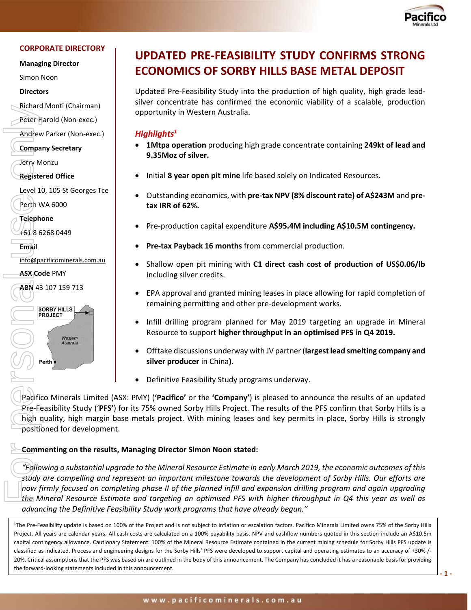

#### **CORPORATE DIRECTORY**

**Managing Director**

Simon Noon

**Directors**

Richard Monti (Chairman)

Peter Harold (Non-exec.)

Andrew Parker (Non-exec.)

**Company Secretary**

Jerry Monzu

**Registered Office**

Level 10, 105 St Georges Tce Perth WA 6000

**Telephone**

+61 8 6268 0449

**Email** 

[info@pacificominerals.com.au](mailto:info@pacificominerals.com.au)

**ASX Code** PMY

**ABN** 43 107 159 713



# **UPDATED PRE-FEASIBILITY STUDY CONFIRMS STRONG ECONOMICS OF SORBY HILLS BASE METAL DEPOSIT**

Updated Pre-Feasibility Study into the production of high quality, high grade leadsilver concentrate has confirmed the economic viability of a scalable, production opportunity in Western Australia.

#### *Highlights<sup>1</sup>*

- **1Mtpa operation** producing high grade concentrate containing **249kt of lead and 9.35Moz of silver.**
- Initial **8 year open pit mine** life based solely on Indicated Resources.
- Outstanding economics, with **pre-tax NPV (8% discount rate) of A\$243M** and **pretax IRR of 62%.**
- Pre-production capital expenditure **A\$95.4M including A\$10.5M contingency.**
- **Pre-tax Payback 16 months** from commercial production.
- Shallow open pit mining with **C1 direct cash cost of production of US\$0.06/lb** including silver credits.
- EPA approval and granted mining leases in place allowing for rapid completion of remaining permitting and other pre-development works.
- Infill drilling program planned for May 2019 targeting an upgrade in Mineral Resource to support **higher throughput in an optimised PFS in Q4 2019.**
- Offtake discussions underway with JV partner (**largest lead smelting company and silver producer** in China**).**
- Definitive Feasibility Study programs underway.

Pacifico Minerals Limited (ASX: PMY) (**'Pacifico'** or the **'Company'**) is pleased to announce the results of an updated Pre-Feasibility Study ('**PFS'**) for its 75% owned Sorby Hills Project. The results of the PFS confirm that Sorby Hills is a high quality, high margin base metals project. With mining leases and key permits in place, Sorby Hills is strongly positioned for development.

## **Commenting on the results, Managing Director Simon Noon stated:**

*"Following a substantial upgrade to the Mineral Resource Estimate in early March 2019, the economic outcomes of this study are compelling and represent an important milestone towards the development of Sorby Hills. Our efforts are now firmly focused on completing phase II of the planned infill and expansion drilling program and again upgrading the Mineral Resource Estimate and targeting an optimised PFS with higher throughput in Q4 this year as well as advancing the Definitive Feasibility Study work programs that have already begun."*

<sup>1</sup>The Pre-Feasibility update is based on 100% of the Project and is not subject to inflation or escalation factors. Pacifico Minerals Limited owns 75% of the Sorby Hills Project. All years are calendar years. All cash costs are calculated on a 100% payability basis. NPV and cashflow numbers quoted in this section include an A\$10.5m capital contingency allowance. Cautionary Statement: 100% of the Mineral Resource Estimate contained in the current mining schedule for Sorby Hills PFS update is classified as Indicated. Process and engineering designs for the Sorby Hills' PFS were developed to support capital and operating estimates to an accuracy of +30% /-20%. Critical assumptions that the PFS was based on are outlined in the body of this announcement. The Company has concluded it has a reasonable basis for providing Example the most control of the form of the form of the form of the forces on an opportunity of the form of the statements include in this analysis of the forward-looking statements include the forward-looking statements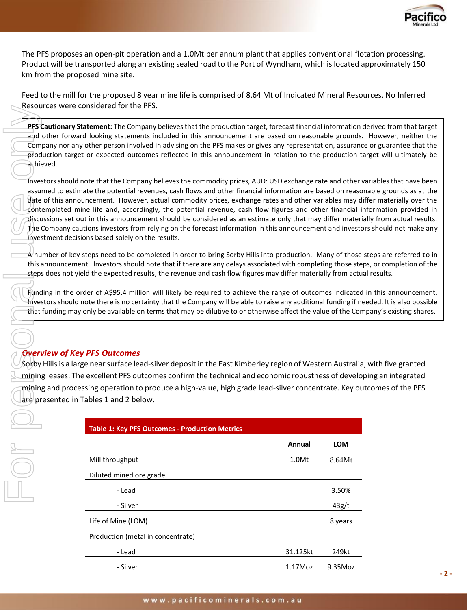

The PFS proposes an open-pit operation and a 1.0Mt per annum plant that applies conventional flotation processing. Product will be transported along an existing sealed road to the Port of Wyndham, which is located approximately 150 km from the proposed mine site.

Feed to the mill for the proposed 8 year mine life is comprised of 8.64 Mt of Indicated Mineral Resources. No Inferred Resources were considered for the PFS.

**PFS Cautionary Statement:** The Company believes that the production target, forecast financial information derived from that target and other forward looking statements included in this announcement are based on reasonable grounds. However, neither the Company nor any other person involved in advising on the PFS makes or gives any representation, assurance or guarantee that the production target or expected outcomes reflected in this announcement in relation to the production target will ultimately be achieved.

Investors should note that the Company believes the commodity prices, AUD: USD exchange rate and other variables that have been assumed to estimate the potential revenues, cash flows and other financial information are based on reasonable grounds as at the date of this announcement. However, actual commodity prices, exchange rates and other variables may differ materially over the contemplated mine life and, accordingly, the potential revenue, cash flow figures and other financial information provided in discussions set out in this announcement should be considered as an estimate only that may differ materially from actual results. The Company cautions investors from relying on the forecast information in this announcement and investors should not make any investment decisions based solely on the results. Excelsion the company only be available on terms that may be discussed in the production of the Company only be available on the Company be available to the company be available of the symphony of the production target of

 $A$  number of key steps need to be completed in order to bring Sorby Hills into production. Many of those steps are referred to in this announcement. Investors should note that if there are any delays associated with completing those steps, or completion of the steps does not yield the expected results, the revenue and cash flow figures may differ materially from actual results.

Funding in the order of A\$95.4 million will likely be required to achieve the range of outcomes indicated in this announcement. Investors should note there is no certainty that the Company will be able to raise any additional funding if needed. It is also possible

# *Overview of Key PFS Outcomes*

Sorby Hills is a large near surface lead-silver deposit in the East Kimberley region of Western Australia, with five granted mining leases. The excellent PFS outcomes confirm the technical and economic robustness of developing an integrated mining and processing operation to produce a high-value, high grade lead-silver concentrate. Key outcomes of the PFS are presented in Tables 1 and 2 below.

| <b>Table 1: Key PFS Outcomes - Production Metrics</b> |            |            |
|-------------------------------------------------------|------------|------------|
|                                                       | Annual     | <b>LOM</b> |
| Mill throughput                                       | 1.0Mt      | 8.64Mt     |
| Diluted mined ore grade                               |            |            |
| - Lead                                                |            | 3.50%      |
| - Silver                                              |            | 43g/t      |
| Life of Mine (LOM)                                    |            | 8 years    |
| Production (metal in concentrate)                     |            |            |
| - Lead                                                | 31.125kt   | 249kt      |
| - Silver                                              | $1.17$ Moz | 9.35Moz    |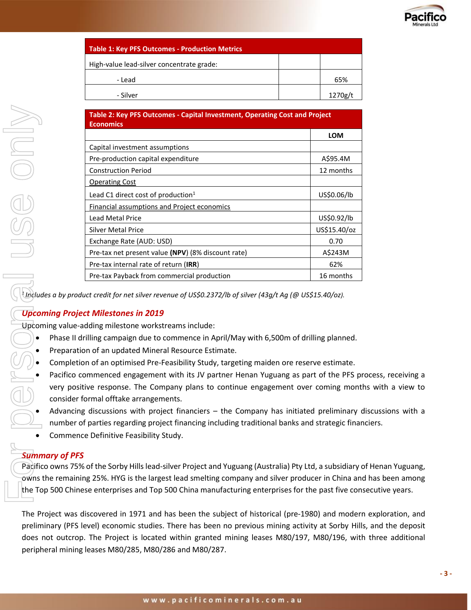

| <b>Table 1: Key PFS Outcomes - Production Metrics</b> |         |  |
|-------------------------------------------------------|---------|--|
| High-value lead-silver concentrate grade:             |         |  |
| - Lead                                                | 65%     |  |
| - Silver                                              | 1270g/t |  |

|                       | Table 2: Key PFS Outcomes - Capital Investment, Operating Cost and Project<br><b>Economics</b>                                                                                                                                                                                                                                                                                                                                                                                                                                                                                                                                                                                                                                                                |              |
|-----------------------|---------------------------------------------------------------------------------------------------------------------------------------------------------------------------------------------------------------------------------------------------------------------------------------------------------------------------------------------------------------------------------------------------------------------------------------------------------------------------------------------------------------------------------------------------------------------------------------------------------------------------------------------------------------------------------------------------------------------------------------------------------------|--------------|
|                       |                                                                                                                                                                                                                                                                                                                                                                                                                                                                                                                                                                                                                                                                                                                                                               | LOM          |
|                       | Capital investment assumptions                                                                                                                                                                                                                                                                                                                                                                                                                                                                                                                                                                                                                                                                                                                                |              |
|                       | Pre-production capital expenditure                                                                                                                                                                                                                                                                                                                                                                                                                                                                                                                                                                                                                                                                                                                            | A\$95.4M     |
|                       | <b>Construction Period</b>                                                                                                                                                                                                                                                                                                                                                                                                                                                                                                                                                                                                                                                                                                                                    | 12 months    |
|                       | <b>Operating Cost</b>                                                                                                                                                                                                                                                                                                                                                                                                                                                                                                                                                                                                                                                                                                                                         |              |
|                       | Lead C1 direct cost of production <sup>1</sup>                                                                                                                                                                                                                                                                                                                                                                                                                                                                                                                                                                                                                                                                                                                | US\$0.06/lb  |
|                       | <b>Financial assumptions and Project economics</b>                                                                                                                                                                                                                                                                                                                                                                                                                                                                                                                                                                                                                                                                                                            |              |
|                       | Lead Metal Price                                                                                                                                                                                                                                                                                                                                                                                                                                                                                                                                                                                                                                                                                                                                              | US\$0.92/lb  |
|                       | <b>Silver Metal Price</b>                                                                                                                                                                                                                                                                                                                                                                                                                                                                                                                                                                                                                                                                                                                                     | US\$15.40/oz |
|                       | Exchange Rate (AUD: USD)                                                                                                                                                                                                                                                                                                                                                                                                                                                                                                                                                                                                                                                                                                                                      | 0.70         |
|                       | Pre-tax net present value (NPV) (8% discount rate)                                                                                                                                                                                                                                                                                                                                                                                                                                                                                                                                                                                                                                                                                                            | A\$243M      |
|                       | Pre-tax internal rate of return (IRR)                                                                                                                                                                                                                                                                                                                                                                                                                                                                                                                                                                                                                                                                                                                         | 62%          |
|                       | Pre-tax Payback from commercial production                                                                                                                                                                                                                                                                                                                                                                                                                                                                                                                                                                                                                                                                                                                    | 16 months    |
|                       | Upcoming value-adding milestone workstreams include:<br>Phase II drilling campaign due to commence in April/May with 6,500m of drilling planned.<br>Preparation of an updated Mineral Resource Estimate.<br>Completion of an optimised Pre-Feasibility Study, targeting maiden ore reserve estimate.<br>Pacifico commenced engagement with its JV partner Henan Yuguang as part of the PFS p<br>very positive response. The Company plans to continue engagement over coming mont<br>consider formal offtake arrangements.<br>Advancing discussions with project financiers - the Company has initiated preliminary<br>number of parties regarding project financing including traditional banks and strategic fina<br>Commence Definitive Feasibility Study. |              |
| <b>Summary of PFS</b> | Pacifico owns 75% of the Sorby Hills lead-silver Project and Yuguang (Australia) Pty Ltd, a subsidiary<br>owns the remaining 25%. HYG is the largest lead smelting company and silver producer in China ar<br>the Top 500 Chinese enterprises and Top 500 China manufacturing enterprises for the past five cor<br>The Project was discovered in 1971 and has been the subject of historical (pre-1980) and moder<br>preliminary (PFS level) economic studies. There has been no previous mining activity at Sorby Hil<br>does not outcrop. The Project is located within granted mining leases M80/197, M80/196, wit<br>peripheral mining leases M80/285, M80/286 and M80/287.                                                                               |              |

# *Upcoming Project Milestones in 2019*

- Phase II drilling campaign due to commence in April/May with 6,500m of drilling planned.
- Preparation of an updated Mineral Resource Estimate.
- Completion of an optimised Pre-Feasibility Study, targeting maiden ore reserve estimate.
- Pacifico commenced engagement with its JV partner Henan Yuguang as part of the PFS process, receiving a very positive response. The Company plans to continue engagement over coming months with a view to consider formal offtake arrangements.
	- Advancing discussions with project financiers the Company has initiated preliminary discussions with a number of parties regarding project financing including traditional banks and strategic financiers.
- Commence Definitive Feasibility Study.

## *Summary of PFS*

Pacifico owns 75% of the Sorby Hills lead-silver Project and Yuguang (Australia) Pty Ltd, a subsidiary of Henan Yuguang, owns the remaining 25%. HYG is the largest lead smelting company and silver producer in China and has been among the Top 500 Chinese enterprises and Top 500 China manufacturing enterprises for the past five consecutive years.

The Project was discovered in 1971 and has been the subject of historical (pre-1980) and modern exploration, and preliminary (PFS level) economic studies. There has been no previous mining activity at Sorby Hills, and the deposit does not outcrop. The Project is located within granted mining leases M80/197, M80/196, with three additional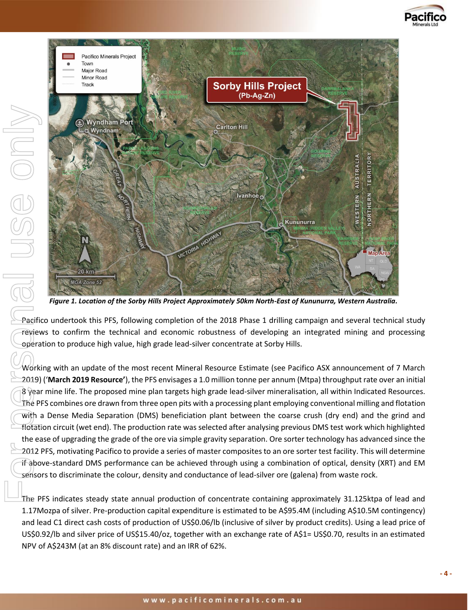



*Figure 1. Location of the Sorby Hills Project Approximately 50km North-East of Kununurra, Western Australia.*

Pacifico undertook this PFS, following completion of the 2018 Phase 1 drilling campaign and several technical study reviews to confirm the technical and economic robustness of developing an integrated mining and processing operation to produce high value, high grade lead-silver concentrate at Sorby Hills.

Working with an update of the most recent Mineral Resource Estimate (see Pacifico ASX announcement of 7 March 2019) ('**March 2019 Resource'**), the PFS envisages a 1.0 million tonne per annum (Mtpa) throughput rate over an initial  $8\,$  year mine life. The proposed mine plan targets high grade lead-silver mineralisation, all within Indicated Resources. The PFS combines ore drawn from three open pits with a processing plant employing conventional milling and flotation with a Dense Media Separation (DMS) beneficiation plant between the coarse crush (dry end) and the grind and flotation circuit (wet end). The production rate was selected after analysing previous DMS test work which highlighted the ease of upgrading the grade of the ore via simple gravity separation. Ore sorter technology has advanced since the 2012 PFS, motivating Pacifico to provide a series of master composites to an ore sorter test facility. This will determine if above-standard DMS performance can be achieved through using a combination of optical, density (XRT) and EM sensors to discriminate the colour, density and conductance of lead-silver ore (galena) from waste rock.

The PFS indicates steady state annual production of concentrate containing approximately 31.125ktpa of lead and 1.17Mozpa of silver. Pre-production capital expenditure is estimated to be A\$95.4M (including A\$10.5M contingency) and lead C1 direct cash costs of production of US\$0.06/lb (inclusive of silver by product credits). Using a lead price of US\$0.92/lb and silver price of US\$15.40/oz, together with an exchange rate of A\$1= US\$0.70, results in an estimated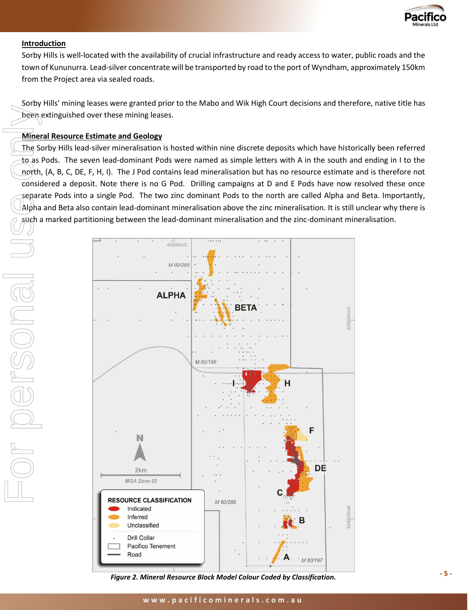

#### **Introduction**

Sorby Hills is well-located with the availability of crucial infrastructure and ready access to water, public roads and the town of Kununurra. Lead-silver concentrate will be transported by road to the port of Wyndham, approximately 150km from the Project area via sealed roads.

Sorby Hills' mining leases were granted prior to the Mabo and Wik High Court decisions and therefore, native title has been extinguished over these mining leases.

#### **Mineral Resource Estimate and Geology**

The Sorby Hills lead-silver mineralisation is hosted within nine discrete deposits which have historically been referred to as Pods. The seven lead-dominant Pods were named as simple letters with A in the south and ending in I to the north, (A, B, C, DE, F, H, I). The J Pod contains lead mineralisation but has no resource estimate and is therefore not considered a deposit. Note there is no G Pod. Drilling campaigns at D and E Pods have now resolved these once separate Pods into a single Pod. The two zinc dominant Pods to the north are called Alpha and Beta. Importantly, Alpha and Beta also contain lead-dominant mineralisation above the zinc mineralisation. It is still unclear why there is such a marked partitioning between the lead-dominant mineralisation and the zinc-dominant mineralisation.



*Figure 2. Mineral Resource Block Model Colour Coded by Classification.*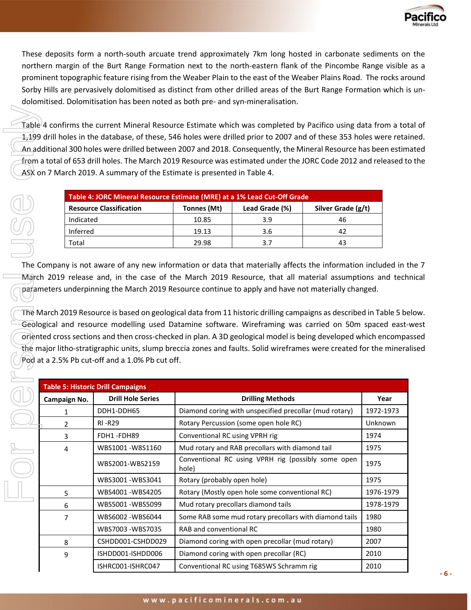

These deposits form a north-south arcuate trend approximately 7km long hosted in carbonate sediments on the northern margin of the Burt Range Formation next to the north-eastern flank of the Pincombe Range visible as a prominent topographic feature rising from the Weaber Plain to the east of the Weaber Plains Road. The rocks around Sorby Hills are pervasively dolomitised as distinct from other drilled areas of the Burt Range Formation which is undolomitised. Dolomitisation has been noted as both pre- and syn-mineralisation.

Table 4 confirms the current Mineral Resource Estimate which was completed by Pacifico using data from a total of 1,199 drill holes in the database, of these, 546 holes were drilled prior to 2007 and of these 353 holes were retained. An additional 300 holes were drilled between 2007 and 2018. Consequently, the Mineral Resource has been estimated from a total of 653 drill holes. The March 2019 Resource was estimated under the JORC Code 2012 and released to the ASX on 7 March 2019. A summary of the Estimate is presented in Table 4. Table<br>
1,199<br>
An ad<br>
Command<br>
Command<br>
Command<br>
The Command<br>
The Command<br>
The Command<br>
The Command<br>
The Command<br>
The Command<br>
The Command<br>
The Pod an<br>
The Pod an<br>
The Pod an<br>
De Records and<br>
De Pod an<br>
De Records and<br>
De R

| Table 4: JORC Mineral Resource Estimate (MRE) at a 1% Lead Cut-Off Grade |             |                |                    |
|--------------------------------------------------------------------------|-------------|----------------|--------------------|
| <b>Resource Classification</b>                                           | Tonnes (Mt) | Lead Grade (%) | Silver Grade (g/t) |
| Indicated                                                                | 10.85       | 3.9            | 46                 |
| Inferred                                                                 | 19.13       | 3.6            | 42                 |
| Total                                                                    | 29.98       | 3.7            | 43                 |

The Company is not aware of any new information or data that materially affects the information included in the 7 March 2019 release and, in the case of the March 2019 Resource, that all material assumptions and technical parameters underpinning the March 2019 Resource continue to apply and have not materially changed.

The March 2019 Resource is based on geological data from 11 historic drilling campaigns as described in Table 5 below. Geological and resource modelling used Datamine software. Wireframing was carried on 50m spaced east-west oriented cross sections and then cross-checked in plan. A 3D geological model is being developed which encompassed the major litho-stratigraphic units, slump breccia zones and faults. Solid wireframes were created for the mineralised Pod at a 2.5% Pb cut-off and a 1.0% Pb cut off.

| <b>Table 5: Historic Drill Campaigns</b> |                          |                                                             |                |
|------------------------------------------|--------------------------|-------------------------------------------------------------|----------------|
| Campaign No.                             | <b>Drill Hole Series</b> | <b>Drilling Methods</b>                                     | Year           |
| 1                                        | DDH1-DDH65               | Diamond coring with unspecified precollar (mud rotary)      | 1972-1973      |
| $\mathcal{P}$                            | <b>RI-R29</b>            | Rotary Percussion (some open hole RC)                       | <b>Unknown</b> |
| 3                                        | FDH1-FDH89               | Conventional RC using VPRH rig                              | 1974           |
| 4                                        | WBS1001-W8S1160          | Mud rotary and RAB precollars with diamond tail             | 1975           |
|                                          | WBS2001-WBS2159          | Conventional RC using VPRH rig (possibly some open<br>hole) | 1975           |
|                                          | WBS3001-WBS3041          | Rotary (probably open hole)                                 | 1975           |
| 5                                        | WBS4001-WBS4205          | Rotary (Mostly open hole some conventional RC)              | 1976-1979      |
| 6                                        | WBS5001-WBS5099          | Mud rotary precollars diamond tails                         | 1978-1979      |
|                                          | WBS6002 - WBS6044        | Some RAB some mud rotary precollars with diamond tails      | 1980           |
|                                          | WBS7003 - WBS7035        | RAB and conventional RC                                     | 1980           |
| 8                                        | CSHDD001-CSHDD029        | Diamond coring with open precollar (mud rotary)             | 2007           |
| 9                                        | ISHDD001-ISHDD006        | Diamond coring with open precollar (RC)                     | 2010           |
|                                          | ISHRC001-ISHRC047        | Conventional RC using T685WS Schramm rig                    | 2010           |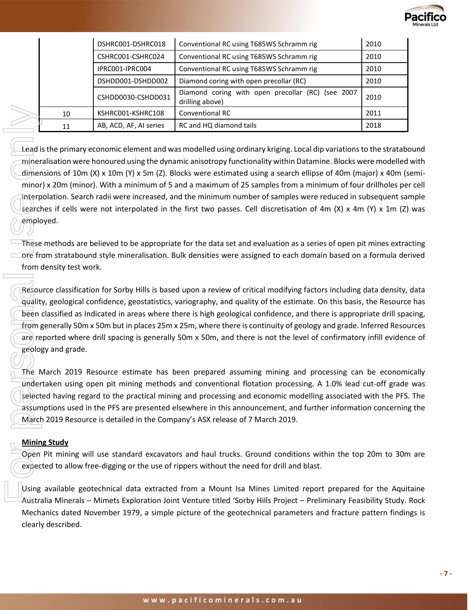

|    | DSHRC001-DSHRC018      | Conventional RC using T685WS Schramm rig                             | 2010 |
|----|------------------------|----------------------------------------------------------------------|------|
|    | CSHRC001-CSHRC024      | Conventional RC using T685WS Schramm rig                             | 2010 |
|    | IPRC001-IPRC004        | Conventional RC using T685WS Schramm rig                             | 2010 |
|    | DSHDD001-DSHDD002      | Diamond coring with open precollar (RC)                              | 2010 |
|    | CSHDD0030-CSHDD031     | Diamond coring with open precollar (RC) (see 2007<br>drilling above) | 2010 |
| 10 | KSHRC001-KSHRC108      | Conventional RC                                                      | 2011 |
| 11 | AB, ACD, AF, AI series | RC and HQ diamond tails                                              | 2018 |

Lead is the primary economic element and was modelled using ordinary kriging. Local dip variations to the stratabound mineralisation were honoured using the dynamic anisotropy functionality within Datamine. Blocks were modelled with dimensions of 10m (X) x 10m (Y) x 5m (Z). Blocks were estimated using a search ellipse of 40m (major) x 40m (semiminor) x 20m (minor). With a minimum of 5 and a maximum of 25 samples from a minimum of four drillholes per cell interpolation. Search radii were increased, and the minimum number of samples were reduced in subsequent sample searches if cells were not interpolated in the first two passes. Cell discretisation of 4m (X) x 4m (Y) x 1m (Z) was employed. 10<br>
11<br>
11<br>
Lead is the primar<br>
mineralisation we<br>
dimensions of 10<br>
minor) x 20m (mil<br>
mineralisation sea<br>
searches if cells \<br>
employed.<br>
These methods and<br>
ore from stratabor<br>
from density test<br>
(Resource classific<br>
qua

These methods are believed to be appropriate for the data set and evaluation as a series of open pit mines extracting  $\Box$  ore from stratabound style mineralisation. Bulk densities were assigned to each domain based on a formula derived from density test work.

Resource classification for Sorby Hills is based upon a review of critical modifying factors including data density, data quality, geological confidence, geostatistics, variography, and quality of the estimate. On this basis, the Resource has been classified as Indicated in areas where there is high geological confidence, and there is appropriate drill spacing, from generally 50m x 50m but in places 25m x 25m, where there is continuity of geology and grade. Inferred Resources are reported where drill spacing is generally 50m x 50m, and there is not the level of confirmatory infill evidence of geology and grade.

The March 2019 Resource estimate has been prepared assuming mining and processing can be economically undertaken using open pit mining methods and conventional flotation processing. A 1.0% lead cut-off grade was selected having regard to the practical mining and processing and economic modelling associated with the PFS. The assumptions used in the PFS are presented elsewhere in this announcement, and further information concerning the March 2019 Resource is detailed in the Company's ASX release of 7 March 2019.

## **Mining Study**

Open Pit mining will use standard excavators and haul trucks. Ground conditions within the top 20m to 30m are expected to allow free-digging or the use of rippers without the need for drill and blast.

Using available geotechnical data extracted from a Mount Isa Mines Limited report prepared for the Aquitaine Australia Minerals – Mimets Exploration Joint Venture titled 'Sorby Hills Project – Preliminary Feasibility Study. Rock Mechanics dated November 1979, a simple picture of the geotechnical parameters and fracture pattern findings is clearly described.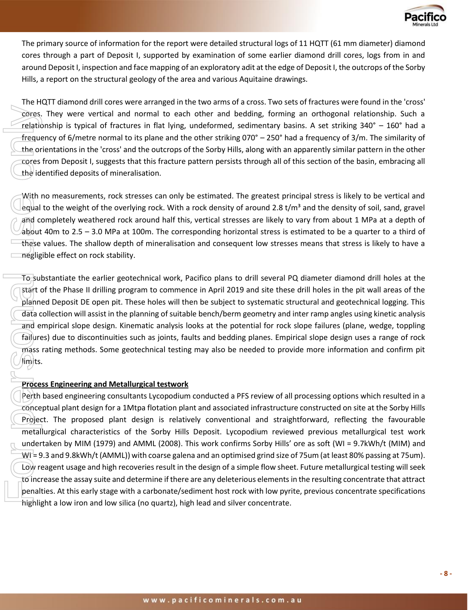

The primary source of information for the report were detailed structural logs of 11 HQTT (61 mm diameter) diamond cores through a part of Deposit I, supported by examination of some earlier diamond drill cores, logs from in and around Deposit I, inspection and face mapping of an exploratory adit at the edge of Deposit I, the outcrops of the Sorby Hills, a report on the structural geology of the area and various Aquitaine drawings.

The HQTT diamond drill cores were arranged in the two arms of a cross. Two sets of fractures were found in the 'cross' cores. They were vertical and normal to each other and bedding, forming an orthogonal relationship. Such a relationship is typical of fractures in flat lying, undeformed, sedimentary basins. A set striking 340° – 160° had a frequency of 6/metre normal to its plane and the other striking 070° – 250° had a frequency of 3/m. The similarity of the orientations in the 'cross' and the outcrops of the Sorby Hills, along with an apparently similar pattern in the other cores from Deposit I, suggests that this fracture pattern persists through all of this section of the basin, embracing all the identified deposits of mineralisation.

With no measurements, rock stresses can only be estimated. The greatest principal stress is likely to be vertical and equal to the weight of the overlying rock. With a rock density of around 2.8 t/m<sup>3</sup> and the density of soil, sand, gravel and completely weathered rock around half this, vertical stresses are likely to vary from about 1 MPa at a depth of about 40m to 2.5 – 3.0 MPa at 100m. The corresponding horizontal stress is estimated to be a quarter to a third of these values. The shallow depth of mineralisation and consequent low stresses means that stress is likely to have a negligible effect on rock stability.

To substantiate the earlier geotechnical work, Pacifico plans to drill several PQ diameter diamond drill holes at the start of the Phase II drilling program to commence in April 2019 and site these drill holes in the pit wall areas of the planned Deposit DE open pit. These holes will then be subject to systematic structural and geotechnical logging. This data collection will assist in the planning of suitable bench/berm geometry and inter ramp angles using kinetic analysis and empirical slope design. Kinematic analysis looks at the potential for rock slope failures (plane, wedge, toppling failures) due to discontinuities such as joints, faults and bedding planes. Empirical slope design uses a range of rock mass rating methods. Some geotechnical testing may also be needed to provide more information and confirm pit limits.

#### **Process Engineering and Metallurgical testwork**

Perth based engineering consultants Lycopodium conducted a PFS review of all processing options which resulted in a conceptual plant design for a 1Mtpa flotation plant and associated infrastructure constructed on site at the Sorby Hills Project. The proposed plant design is relatively conventional and straightforward, reflecting the favourable metallurgical characteristics of the Sorby Hills Deposit. Lycopodium reviewed previous metallurgical test work undertaken by MIM (1979) and AMML (2008). This work confirms Sorby Hills' ore as soft (WI = 9.7kWh/t (MIM) and  $W1 = 9.3$  and 9.8kWh/t (AMML)) with coarse galena and an optimised grind size of 75um (at least 80% passing at 75um). Low reagent usage and high recoveries result in the design of a simple flow sheet. Future metallurgical testing will seek to increase the assay suite and determine if there are any deleterious elements in the resulting concentrate that attract penalties. At this early stage with a carbonate/sediment host rock with low pyrite, previous concentrate specifications For the state of the two since that is math than the state of fractures in fatt lying, undeformed, sellimentary based in the state of the state of the state of the state of the state of the state of the state of the state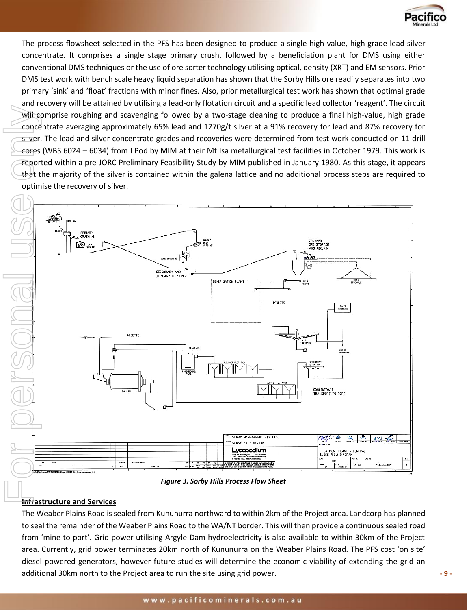

The process flowsheet selected in the PFS has been designed to produce a single high-value, high grade lead-silver concentrate. It comprises a single stage primary crush, followed by a beneficiation plant for DMS using either conventional DMS techniques or the use of ore sorter technology utilising optical, density (XRT) and EM sensors. Prior DMS test work with bench scale heavy liquid separation has shown that the Sorby Hills ore readily separates into two primary 'sink' and 'float' fractions with minor fines. Also, prior metallurgical test work has shown that optimal grade and recovery will be attained by utilising a lead-only flotation circuit and a specific lead collector 'reagent'. The circuit will comprise roughing and scavenging followed by a two-stage cleaning to produce a final high-value, high grade concentrate averaging approximately 65% lead and 1270g/t silver at a 91% recovery for lead and 87% recovery for silver. The lead and silver concentrate grades and recoveries were determined from test work conducted on 11 drill cores (WBS 6024 – 6034) from I Pod by MIM at their Mt Isa metallurgical test facilities in October 1979. This work is reported within a pre-JORC Preliminary Feasibility Study by MIM published in January 1980. As this stage, it appears that the majority of the silver is contained within the galena lattice and no additional process steps are required to optimise the recovery of silver.



*Figure 3. Sorby Hills Process Flow Sheet*

# **Infrastructure and Services**

The Weaber Plains Road is sealed from Kununurra northward to within 2km of the Project area. Landcorp has planned to seal the remainder of the Weaber Plains Road to the WA/NT border. This will then provide a continuous sealed road from 'mine to port'. Grid power utilising Argyle Dam hydroelectricity is also available to within 30km of the Project area. Currently, grid power terminates 20km north of Kununurra on the Weaber Plains Road. The PFS cost 'on site' diesel powered generators, however future studies will determine the economic viability of extending the grid an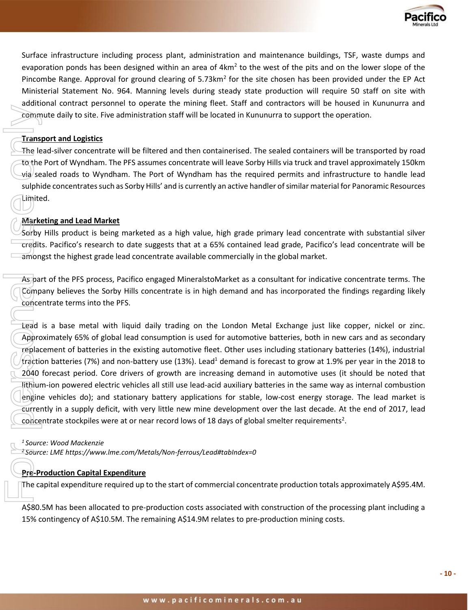

Surface infrastructure including process plant, administration and maintenance buildings, TSF, waste dumps and evaporation ponds has been designed within an area of  $4km^2$  to the west of the pits and on the lower slope of the Pincombe Range. Approval for ground clearing of 5.73km<sup>2</sup> for the site chosen has been provided under the EP Act Ministerial Statement No. 964. Manning levels during steady state production will require 50 staff on site with additional contract personnel to operate the mining fleet. Staff and contractors will be housed in Kununurra and commute daily to site. Five administration staff will be located in Kununurra to support the operation.

#### **Transport and Logistics**

The lead-silver concentrate will be filtered and then containerised. The sealed containers will be transported by road to the Port of Wyndham. The PFS assumes concentrate will leave Sorby Hills via truck and travel approximately 150km via sealed roads to Wyndham. The Port of Wyndham has the required permits and infrastructure to handle lead sulphide concentrates such as Sorby Hills' and is currently an active handler of similar material for Panoramic Resources Limited.

#### **Marketing and Lead Market**

Sorby Hills product is being marketed as a high value, high grade primary lead concentrate with substantial silver credits. Pacifico's research to date suggests that at a 65% contained lead grade, Pacifico's lead concentrate will be amongst the highest grade lead concentrate available commercially in the global market.

As part of the PFS process, Pacifico engaged MineralstoMarket as a consultant for indicative concentrate terms. The Company believes the Sorby Hills concentrate is in high demand and has incorporated the findings regarding likely concentrate terms into the PFS.

Lead is a base metal with liquid daily trading on the London Metal Exchange just like copper, nickel or zinc. Approximately 65% of global lead consumption is used for automotive batteries, both in new cars and as secondary replacement of batteries in the existing automotive fleet. Other uses including stationary batteries (14%), industrial traction batteries (7%) and non-battery use (13%). Lead<sup>1</sup> demand is forecast to grow at 1.9% per year in the 2018 to 2040 forecast period. Core drivers of growth are increasing demand in automotive uses (it should be noted that lithium-ion powered electric vehicles all still use lead-acid auxiliary batteries in the same way as internal combustion engine vehicles do); and stationary battery applications for stable, low-cost energy storage. The lead market is currently in a supply deficit, with very little new mine development over the last decade. At the end of 2017, lead concentrate stockpiles were at or near record lows of 18 days of global smelter requirements<sup>2</sup>. 15% continue that the state of Asian methods will be interest and then containerised. The sealed containers will the Protostate will be filtered and then containerised. The sealed containers will the Pot of Wyndham. The Pi

*<sup>1</sup>Source: Wood Mackenzie* 

*<sup>2</sup>Source: LME<https://www.lme.com/Metals/Non-ferrous/Lead#tabIndex=0>*

#### **Pre-Production Capital Expenditure**

The capital expenditure required up to the start of commercial concentrate production totals approximately A\$95.4M.

A\$80.5M has been allocated to pre-production costs associated with construction of the processing plant including a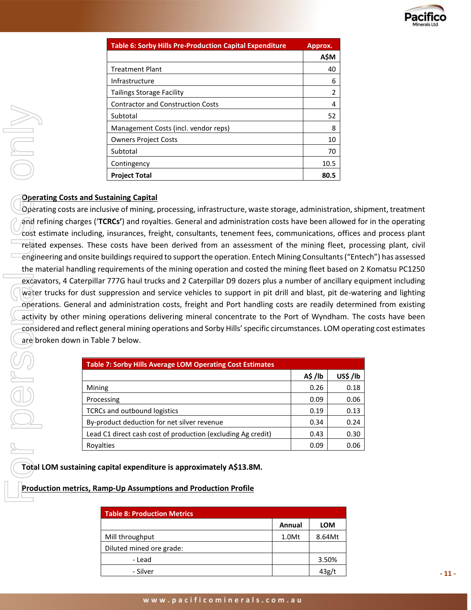

| <b>Table 6: Sorby Hills Pre-Production Capital Expenditure</b> | Approx.       |
|----------------------------------------------------------------|---------------|
|                                                                | <b>AŚM</b>    |
| <b>Treatment Plant</b>                                         | 40            |
| Infrastructure                                                 | 6             |
| <b>Tailings Storage Facility</b>                               | $\mathcal{P}$ |
| <b>Contractor and Construction Costs</b>                       | 4             |
| Subtotal                                                       | 52            |
| Management Costs (incl. vendor reps)                           | 8             |
| <b>Owners Project Costs</b>                                    | 10            |
| Subtotal                                                       | 70            |
| Contingency                                                    | 10.5          |
| <b>Project Total</b>                                           | 80.5          |

#### **Operating Costs and Sustaining Capital**

Operating costs are inclusive of mining, processing, infrastructure, waste storage, administration, shipment, treatment and refining charges ('**TCRCs'**) and royalties. General and administration costs have been allowed for in the operating cost estimate including, insurances, freight, consultants, tenement fees, communications, offices and process plant related expenses. These costs have been derived from an assessment of the mining fleet, processing plant, civil engineering and onsite buildings required to support the operation. Entech Mining Consultants ("Entech") has assessed the material handling requirements of the mining operation and costed the mining fleet based on 2 Komatsu PC1250 excavators, 4 Caterpillar 777G haul trucks and 2 Caterpillar D9 dozers plus a number of ancillary equipment including water trucks for dust suppression and service vehicles to support in pit drill and blast, pit de-watering and lighting operations. General and administration costs, freight and Port handling costs are readily determined from existing activity by other mining operations delivering mineral concentrate to the Port of Wyndham. The costs have been considered and reflect general mining operations and Sorby Hills' specific circumstances. LOM operating cost estimates are broken down in Table 7 below. **Contract Construction Contract Construction**<br> **Construct Construct Construct Construct Construct Construct Construct Construct Construct Construct Construct Construct Construction Conduct Product Product Product Product P** 

| <b>Table 7: Sorby Hills Average LOM Operating Cost Estimates</b> |        |         |  |
|------------------------------------------------------------------|--------|---------|--|
|                                                                  | A\$/lb | US\$/lb |  |
| Mining                                                           | 0.26   | 0.18    |  |
| Processing                                                       | 0.09   | 0.06    |  |
| <b>TCRCs and outbound logistics</b>                              | 0.19   | 0.13    |  |
| By-product deduction for net silver revenue                      | 0.34   | 0.24    |  |
| Lead C1 direct cash cost of production (excluding Ag credit)     | 0.43   | 0.30    |  |
| Royalties                                                        | 0.09   | 0.06    |  |

**Total LOM sustaining capital expenditure is approximately A\$13.8M.**

**Production metrics, Ramp-Up Assumptions and Production Profile** 

| <b>Table 8: Production Metrics</b> |        |            |
|------------------------------------|--------|------------|
|                                    | Annual | <b>LOM</b> |
| Mill throughput                    | 1.0Mt  | 8.64Mt     |
| Diluted mined ore grade:           |        |            |
| - Lead                             |        | 3.50%      |
| - Silver                           |        | 43g/t      |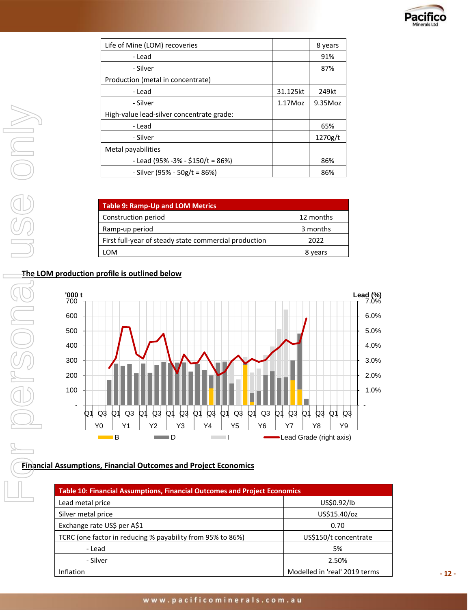

| Life of Mine (LOM) recoveries             |          | 8 years |
|-------------------------------------------|----------|---------|
| - Lead                                    |          | 91%     |
| - Silver                                  |          | 87%     |
| Production (metal in concentrate)         |          |         |
| - Lead                                    | 31.125kt | 249kt   |
| - Silver                                  | 1.17Moz  | 9.35Moz |
| High-value lead-silver concentrate grade: |          |         |
| - Lead                                    |          | 65%     |
| - Silver                                  |          | 1270g/t |
| Metal payabilities                        |          |         |
| - Lead (95% - 3% - \$150/t = 86%)         |          | 86%     |
| - Silver (95% - 50g/t = 86%)              |          | 86%     |

| <b>Table 9: Ramp-Up and LOM Metrics</b>               |           |
|-------------------------------------------------------|-----------|
| Construction period                                   | 12 months |
| Ramp-up period                                        | 3 months  |
| First full-year of steady state commercial production | 2022      |
| LOM.                                                  | 8 years   |

# **The LOM production profile is outlined below**



## **Financial Assumptions, Financial Outcomes and Project Economics**

| Table 10: Financial Assumptions, Financial Outcomes and Project Economics |                               |  |
|---------------------------------------------------------------------------|-------------------------------|--|
| Lead metal price                                                          | US\$0.92/lb                   |  |
| Silver metal price                                                        | US\$15.40/oz                  |  |
| Exchange rate US\$ per A\$1                                               | 0.70                          |  |
| TCRC (one factor in reducing % payability from 95% to 86%)                | US\$150/t concentrate         |  |
| - Lead                                                                    | 5%                            |  |
| - Silver                                                                  | 2.50%                         |  |
| Inflation                                                                 | Modelled in 'real' 2019 terms |  |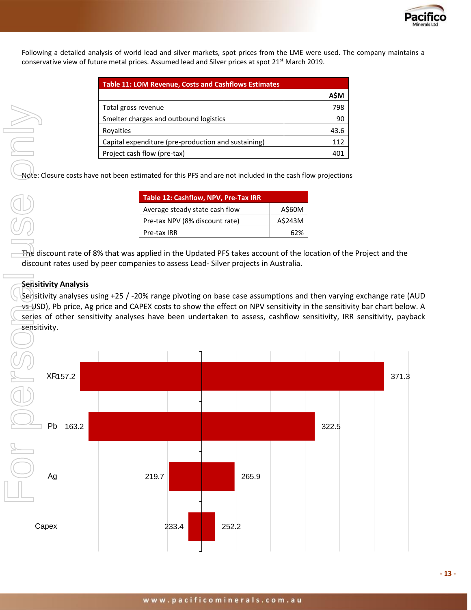

Following a detailed analysis of world lead and silver markets, spot prices from the LME were used. The company maintains a conservative view of future metal prices. Assumed lead and Silver prices at spot 21<sup>st</sup> March 2019.

| <b>Table 11: LOM Revenue, Costs and Cashflows Estimates</b> |      |
|-------------------------------------------------------------|------|
|                                                             | A\$M |
| Total gross revenue                                         | 798  |
| Smelter charges and outbound logistics                      | 90   |
| Royalties                                                   | 43.6 |
| Capital expenditure (pre-production and sustaining)         | 112  |
| Project cash flow (pre-tax)                                 | 40   |

Note: Closure costs have not been estimated for this PFS and are not included in the cash flow projections

| Table 12: Cashflow, NPV, Pre-Tax IRR |         |  |
|--------------------------------------|---------|--|
| Average steady state cash flow       | A\$60M  |  |
| Pre-tax NPV (8% discount rate)       | A\$243M |  |
| Pre-tax IRR                          | 62%     |  |

The discount rate of 8% that was applied in the Updated PFS takes account of the location of the Project and the discount rates used by peer companies to assess Lead- Silver projects in Australia.

## **Sensitivity Analysis**

Sensitivity analyses using +25 / -20% range pivoting on base case assumptions and then varying exchange rate (AUD vs USD), Pb price, Ag price and CAPEX costs to show the effect on NPV sensitivity in the sensitivity bar chart below. A series of other sensitivity analyses have been undertaken to assess, cashflow sensitivity, IRR sensitivity, payback sensitivity.

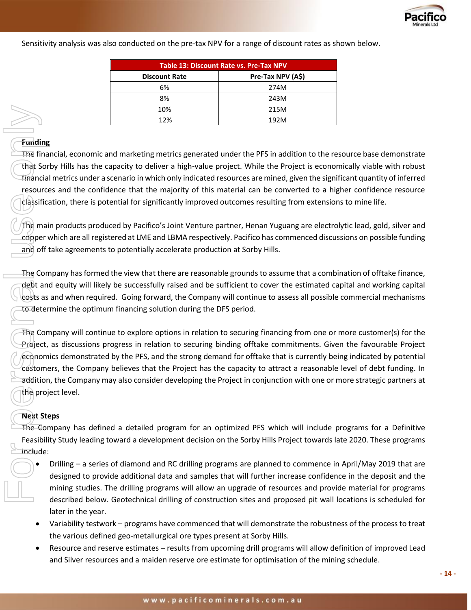

Sensitivity analysis was also conducted on the pre-tax NPV for a range of discount rates as shown below.

| Table 13: Discount Rate vs. Pre-Tax NPV |                   |  |
|-----------------------------------------|-------------------|--|
| <b>Discount Rate</b>                    | Pre-Tax NPV (A\$) |  |
| 6%                                      | 274M              |  |
| 8%                                      | 243M              |  |
| 10%                                     | 215M              |  |
| 12%                                     | 192M              |  |

## **Funding**

The financial, economic and marketing metrics generated under the PFS in addition to the resource base demonstrate that Sorby Hills has the capacity to deliver a high-value project. While the Project is economically viable with robust financial metrics under a scenario in which only indicated resources are mined, given the significant quantity of inferred resources and the confidence that the majority of this material can be converted to a higher confidence resource classification, there is potential for significantly improved outcomes resulting from extensions to mine life.

The main products produced by Pacifico's Joint Venture partner, Henan Yuguang are electrolytic lead, gold, silver and copper which are all registered at LME and LBMA respectively. Pacifico has commenced discussions on possible funding and off take agreements to potentially accelerate production at Sorby Hills.

The Company has formed the view that there are reasonable grounds to assume that a combination of offtake finance, debt and equity will likely be successfully raised and be sufficient to cover the estimated capital and working capital costs as and when required. Going forward, the Company will continue to assess all possible commercial mechanisms to determine the optimum financing solution during the DFS period.

The Company will continue to explore options in relation to securing financing from one or more customer(s) for the Project, as discussions progress in relation to securing binding offtake commitments. Given the favourable Project economics demonstrated by the PFS, and the strong demand for offtake that is currently being indicated by potential customers, the Company believes that the Project has the capacity to attract a reasonable level of debt funding. In addition, the Company may also consider developing the Project in conjunction with one or more strategic partners at the project level. Fundi<br>
The finance resources only of the finance resources of the finance resources of the Condensity of the Condensity of the Condensity of the Condensity of the Condensity of the Condensity of the Condensity of the Conde

## **Next Steps**

The Company has defined a detailed program for an optimized PFS which will include programs for a Definitive Feasibility Study leading toward a development decision on the Sorby Hills Project towards late 2020. These programs include:

- Drilling a series of diamond and RC drilling programs are planned to commence in April/May 2019 that are designed to provide additional data and samples that will further increase confidence in the deposit and the mining studies. The drilling programs will allow an upgrade of resources and provide material for programs described below. Geotechnical drilling of construction sites and proposed pit wall locations is scheduled for later in the year.
	- Variability testwork programs have commenced that will demonstrate the robustness of the process to treat the various defined geo-metallurgical ore types present at Sorby Hills.
	- Resource and reserve estimates results from upcoming drill programs will allow definition of improved Lead and Silver resources and a maiden reserve ore estimate for optimisation of the mining schedule.